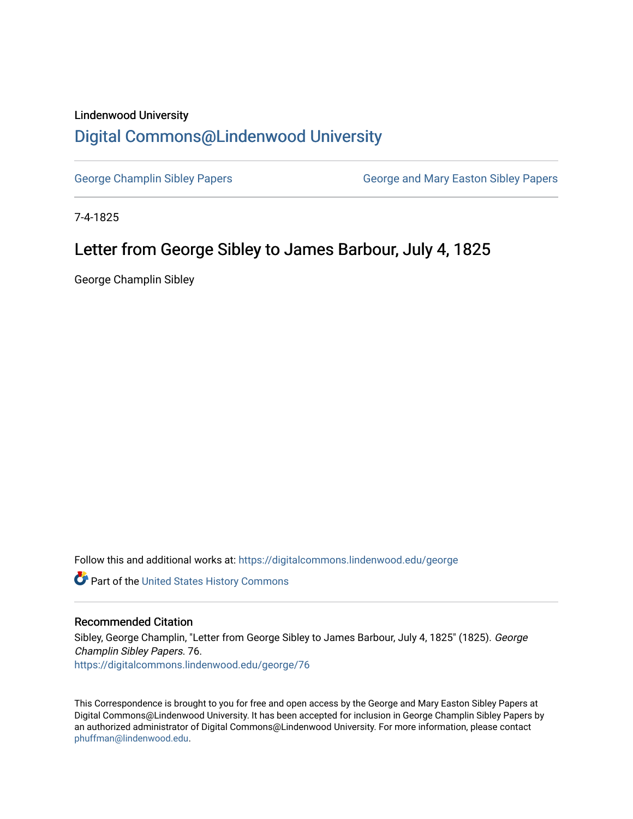## Lindenwood University

## [Digital Commons@Lindenwood University](https://digitalcommons.lindenwood.edu/)

[George Champlin Sibley Papers](https://digitalcommons.lindenwood.edu/george) George and Mary Easton Sibley Papers

7-4-1825

## Letter from George Sibley to James Barbour, July 4, 1825

George Champlin Sibley

Follow this and additional works at: [https://digitalcommons.lindenwood.edu/george](https://digitalcommons.lindenwood.edu/george?utm_source=digitalcommons.lindenwood.edu%2Fgeorge%2F76&utm_medium=PDF&utm_campaign=PDFCoverPages)

Part of the [United States History Commons](http://network.bepress.com/hgg/discipline/495?utm_source=digitalcommons.lindenwood.edu%2Fgeorge%2F76&utm_medium=PDF&utm_campaign=PDFCoverPages) 

## Recommended Citation

Sibley, George Champlin, "Letter from George Sibley to James Barbour, July 4, 1825" (1825). George Champlin Sibley Papers. 76. [https://digitalcommons.lindenwood.edu/george/76](https://digitalcommons.lindenwood.edu/george/76?utm_source=digitalcommons.lindenwood.edu%2Fgeorge%2F76&utm_medium=PDF&utm_campaign=PDFCoverPages) 

This Correspondence is brought to you for free and open access by the George and Mary Easton Sibley Papers at Digital Commons@Lindenwood University. It has been accepted for inclusion in George Champlin Sibley Papers by an authorized administrator of Digital Commons@Lindenwood University. For more information, please contact [phuffman@lindenwood.edu](mailto:phuffman@lindenwood.edu).